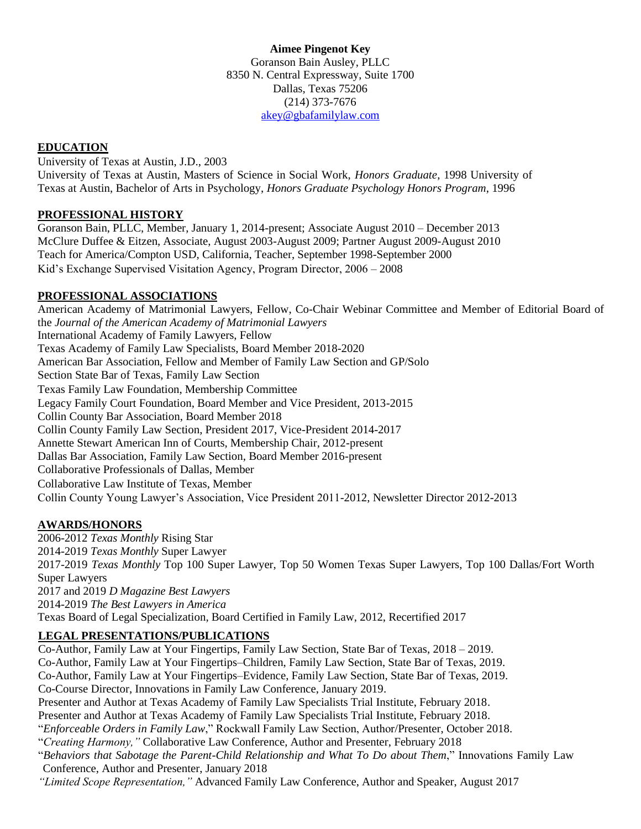**Aimee Pingenot Key** Goranson Bain Ausley, PLLC 8350 N. Central Expressway, Suite 1700 Dallas, Texas 75206 (214) 373-7676 [akey@gbafamilylaw.com](mailto:akey@gbafamilylaw.com)

# **EDUCATION**

University of Texas at Austin, J.D., 2003 University of Texas at Austin, Masters of Science in Social Work, *Honors Graduate*, 1998 University of Texas at Austin, Bachelor of Arts in Psychology, *Honors Graduate Psychology Honors Program*, 1996

### **PROFESSIONAL HISTORY**

Goranson Bain, PLLC, Member, January 1, 2014-present; Associate August 2010 – December 2013 McClure Duffee & Eitzen, Associate, August 2003-August 2009; Partner August 2009-August 2010 Teach for America/Compton USD, California, Teacher, September 1998-September 2000 Kid's Exchange Supervised Visitation Agency, Program Director, 2006 – 2008

## **PROFESSIONAL ASSOCIATIONS**

American Academy of Matrimonial Lawyers, Fellow, Co-Chair Webinar Committee and Member of Editorial Board of the *Journal of the American Academy of Matrimonial Lawyers* International Academy of Family Lawyers, Fellow Texas Academy of Family Law Specialists, Board Member 2018-2020 American Bar Association, Fellow and Member of Family Law Section and GP/Solo Section State Bar of Texas, Family Law Section Texas Family Law Foundation, Membership Committee Legacy Family Court Foundation, Board Member and Vice President, 2013-2015 Collin County Bar Association, Board Member 2018 Collin County Family Law Section, President 2017, Vice-President 2014-2017 Annette Stewart American Inn of Courts, Membership Chair, 2012-present Dallas Bar Association, Family Law Section, Board Member 2016-present Collaborative Professionals of Dallas, Member Collaborative Law Institute of Texas, Member Collin County Young Lawyer's Association, Vice President 2011-2012, Newsletter Director 2012-2013

### **AWARDS/HONORS**

2006-2012 *Texas Monthly* Rising Star 2014-2019 *Texas Monthly* Super Lawyer 2017-2019 *Texas Monthly* Top 100 Super Lawyer, Top 50 Women Texas Super Lawyers, Top 100 Dallas/Fort Worth Super Lawyers 2017 and 2019 *D Magazine Best Lawyers* 2014-2019 *The Best Lawyers in America* Texas Board of Legal Specialization, Board Certified in Family Law, 2012, Recertified 2017

## **LEGAL PRESENTATIONS/PUBLICATIONS**

Co-Author, Family Law at Your Fingertips, Family Law Section, State Bar of Texas, 2018 – 2019. Co-Author, Family Law at Your Fingertips–Children, Family Law Section, State Bar of Texas, 2019. Co-Author, Family Law at Your Fingertips–Evidence, Family Law Section, State Bar of Texas, 2019. Co-Course Director, Innovations in Family Law Conference, January 2019. Presenter and Author at Texas Academy of Family Law Specialists Trial Institute, February 2018. Presenter and Author at Texas Academy of Family Law Specialists Trial Institute, February 2018. "*Enforceable Orders in Family Law*," Rockwall Family Law Section, Author/Presenter, October 2018. "*Creating Harmony,"* Collaborative Law Conference, Author and Presenter, February 2018 "*Behaviors that Sabotage the Parent-Child Relationship and What To Do about Them*," Innovations Family Law Conference, Author and Presenter, January 2018 *"Limited Scope Representation,"* Advanced Family Law Conference, Author and Speaker, August 2017